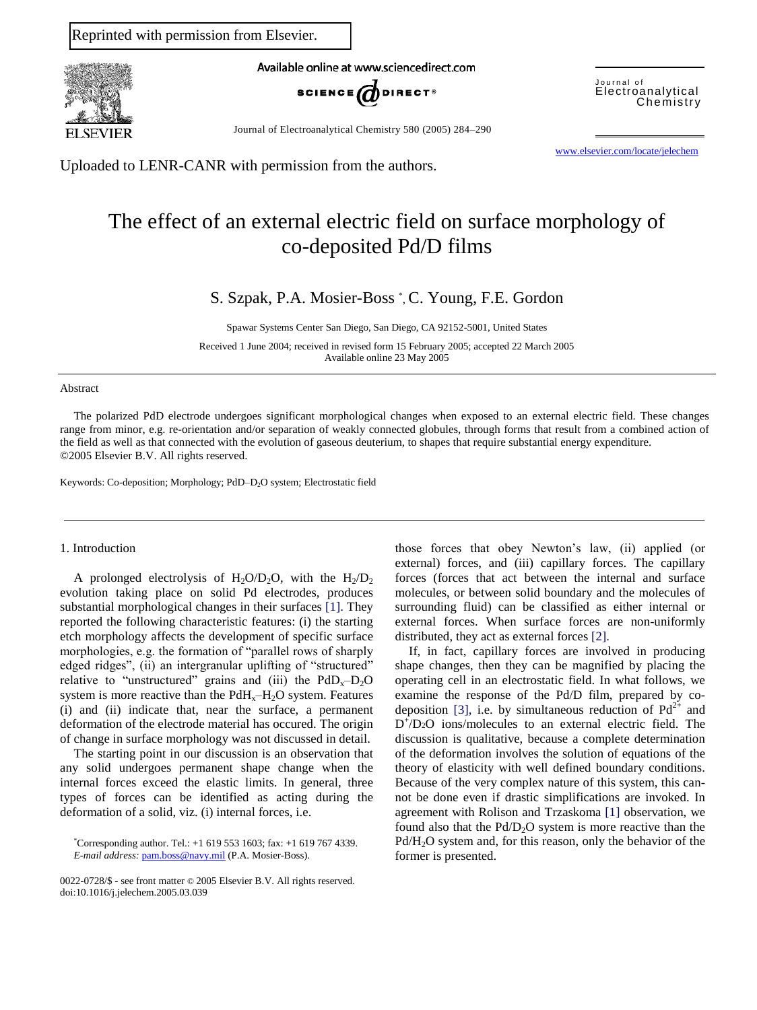

Available online at www.sciencedirect.com



Journal of Electroanalytical Chemistry 580 (2005) 284–290

J o u r n a l o f **Electroanalytical** Chem is try

www.elsevier.com/locate/jelechem

Uploaded to LENR-CANR with permission from the authors.

# The effect of an external electric field on surface morphology of co-deposited Pd/D films

S. Szpak, P.A. Mosier-Boss \* , C. Young, F.E. Gordon

Spawar Systems Center San Diego, San Diego, CA 92152-5001, United States

Received 1 June 2004; received in revised form 15 February 2005; accepted 22 March 2005 Available online 23 May 2005

#### Abstract

The polarized PdD electrode undergoes significant morphological changes when exposed to an external electric field. These changes range from minor, e.g. re-orientation and/or separation of weakly connected globules, through forms that result from a combined action of the field as well as that connected with the evolution of gaseous deuterium, to shapes that require substantial energy expenditure. ©2005 Elsevier B.V. All rights reserved.

Keywords: Co-deposition; Morphology; PdD–D2O system; Electrostatic field

### 1. Introduction

A prolonged electrolysis of H<sub>2</sub>O/D<sub>2</sub>O, with the H<sub>2</sub>/D<sub>2</sub> evolution taking place on solid Pd electrodes, produces substantial morphological changes in their surfaces [1]. They reported the following characteristic features: (i) the starting etch morphology affects the development of specific surface morphologies, e.g. the formation of "parallel rows of sharply edged ridges", (ii) an intergranular uplifting of "structured" relative to "unstructured" grains and (iii) the  $PdD_x-D_2O$ system is more reactive than the  $PdH_x-H_2O$  system. Features (i) and (ii) indicate that, near the surface, a permanent deformation of the electrode material has occured. The origin of change in surface morphology was not discussed in detail.

The starting point in our discussion is an observation that any solid undergoes permanent shape change when the internal forces exceed the elastic limits. In general, three types of forces can be identified as acting during the deformation of a solid, viz. (i) internal forces, i.e.

 $^{\circ}$ Corresponding author. Tel.: +1 619 553 1603; fax: +1 619 767 4339. *E-mail address:* pam.boss@navy.mil (P.A. Mosier-Boss).

0022-0728/\$ - see front matter © 2005 Elsevier B.V. All rights reserved. doi:10.1016/j.jelechem.2005.03.039

those forces that obey Newton's law, (ii) applied (or external) forces, and (iii) capillary forces. The capillary forces (forces that act between the internal and surface molecules, or between solid boundary and the molecules of surrounding fluid) can be classified as either internal or external forces. When surface forces are non-uniformly distributed, they act as external forces [2].

If, in fact, capillary forces are involved in producing shape changes, then they can be magnified by placing the operating cell in an electrostatic field. In what follows, we examine the response of the Pd/D film, prepared by codeposition [3], i.e. by simultaneous reduction of  $Pd^{2+}$  and  $D^{\dagger}/D_2O$  ions/molecules to an external electric field. The discussion is qualitative, because a complete determination of the deformation involves the solution of equations of the theory of elasticity with well defined boundary conditions. Because of the very complex nature of this system, this cannot be done even if drastic simplifications are invoked. In agreement with Rolison and Trzaskoma [1] observation, we found also that the  $Pd/D<sub>2</sub>O$  system is more reactive than the Pd/H<sub>2</sub>O system and, for this reason, only the behavior of the former is presented.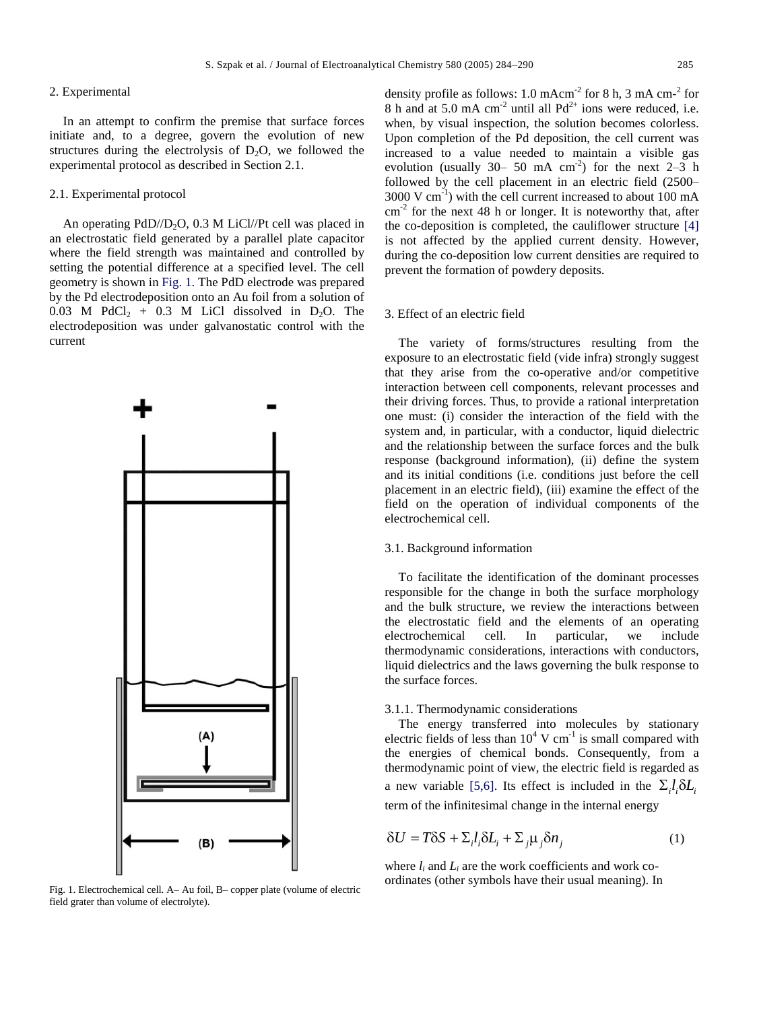#### 2. Experimental

In an attempt to confirm the premise that surface forces initiate and, to a degree, govern the evolution of new structures during the electrolysis of  $D_2O$ , we followed the experimental protocol as described in Section 2.1.

#### 2.1. Experimental protocol

An operating  $PdD/D<sub>2</sub>O$ , 0.3 M LiCl//Pt cell was placed in an electrostatic field generated by a parallel plate capacitor where the field strength was maintained and controlled by setting the potential difference at a specified level. The cell geometry is shown in Fig. 1. The PdD electrode was prepared by the Pd electrodeposition onto an Au foil from a solution of 0.03 M PdCl<sub>2</sub> + 0.3 M LiCl dissolved in D<sub>2</sub>O. The electrodeposition was under galvanostatic control with the current



Fig. 1. Electrochemical cell. A–Au foil, B–copper plate (volume of electric field grater than volume of electrolyte).

density profile as follows:  $1.0 \text{ mAcm}^2$  for 8 h, 3 mA cm- $^2$  for 8 h and at 5.0 mA cm<sup>-2</sup> until all  $Pd^{2+}$  ions were reduced, i.e. when, by visual inspection, the solution becomes colorless. Upon completion of the Pd deposition, the cell current was increased to a value needed to maintain a visible gas evolution (usually  $30-50$  mA cm<sup>-2</sup>) for the next  $2-3$  h followed by the cell placement in an electric field (2500–  $3000 \text{ V cm}^{-1}$ ) with the cell current increased to about 100 mA  $\text{cm}^2$  for the next 48 h or longer. It is noteworthy that, after the co-deposition is completed, the cauliflower structure [4] is not affected by the applied current density. However, during the co-deposition low current densities are required to prevent the formation of powdery deposits.

# 3. Effect of an electric field

The variety of forms/structures resulting from the exposure to an electrostatic field (vide infra) strongly suggest that they arise from the co-operative and/or competitive interaction between cell components, relevant processes and their driving forces. Thus, to provide a rational interpretation one must: (i) consider the interaction of the field with the system and, in particular, with a conductor, liquid dielectric and the relationship between the surface forces and the bulk response (background information), (ii) define the system and its initial conditions (i.e. conditions just before the cell placement in an electric field), (iii) examine the effect of the field on the operation of individual components of the electrochemical cell.

# 3.1. Background information

To facilitate the identification of the dominant processes responsible for the change in both the surface morphology and the bulk structure, we review the interactions between the electrostatic field and the elements of an operating electrochemical cell. In particular, we include thermodynamic considerations, interactions with conductors, liquid dielectrics and the laws governing the bulk response to the surface forces.

# 3.1.1. Thermodynamic considerations

The energy transferred into molecules by stationary electric fields of less than  $10^4$  V cm<sup>-1</sup> is small compared with the energies of chemical bonds. Consequently, from a thermodynamic point of view, the electric field is regarded as a new variable [5,6]. Its effect is included in the  $\Sigma_i l_i \delta L_i$ term of the infinitesimal change in the internal energy

$$
\delta U = T \delta S + \Sigma_i l_i \delta L_i + \Sigma_j \mu_j \delta n_j \tag{1}
$$

where  $l_i$  and  $L_i$  are the work coefficients and work coordinates (other symbols have their usual meaning). In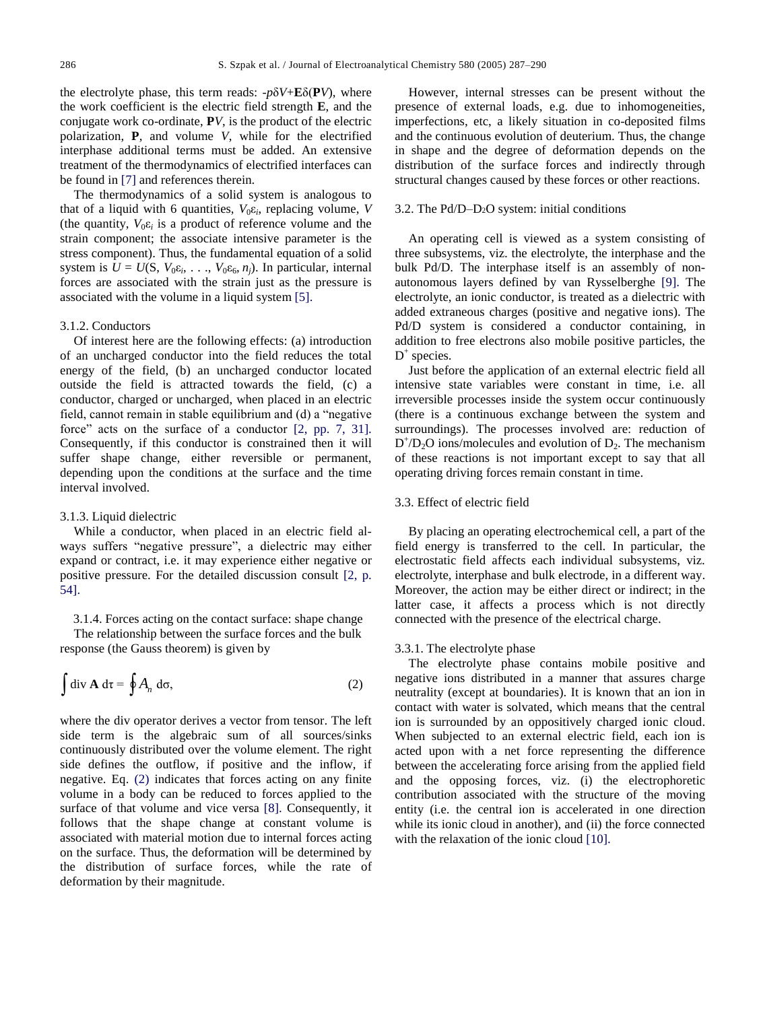the electrolyte phase, this term reads: -*p*δ*V*+**E**δ(**P***V*), where the work coefficient is the electric field strength **E**, and the conjugate work co-ordinate, **P***V*, is the product of the electric polarization, **P**, and volume *V*, while for the electrified interphase additional terms must be added. An extensive treatment of the thermodynamics of electrified interfaces can be found in [7] and references therein.

The thermodynamics of a solid system is analogous to that of a liquid with 6 quantities,  $V_0 \varepsilon_i$ , replacing volume, *V* (the quantity,  $V_0 \varepsilon_i$  is a product of reference volume and the strain component; the associate intensive parameter is the stress component). Thus, the fundamental equation of a solid system is  $U = U(S, V_0 \varepsilon_i, \ldots, V_0 \varepsilon_6, n_i)$ . In particular, internal forces are associated with the strain just as the pressure is associated with the volume in a liquid system [5].

### 3.1.2. Conductors

Of interest here are the following effects: (a) introduction of an uncharged conductor into the field reduces the total energy of the field, (b) an uncharged conductor located outside the field is attracted towards the field, (c) a conductor, charged or uncharged, when placed in an electric field, cannot remain in stable equilibrium and  $(d)$  a "negative" force" acts on the surface of a conductor  $[2, pp. 7, 31]$ . Consequently, if this conductor is constrained then it will suffer shape change, either reversible or permanent, depending upon the conditions at the surface and the time interval involved.

#### 3.1.3. Liquid dielectric

While a conductor, when placed in an electric field always suffers "negative pressure", a dielectric may either expand or contract, i.e. it may experience either negative or positive pressure. For the detailed discussion consult [2, p. 54].

3.1.4. Forces acting on the contact surface: shape change

The relationship between the surface forces and the bulk response (the Gauss theorem) is given by

$$
\int \operatorname{div} \mathbf{A} \, d\tau = \oint A_n \, d\sigma,\tag{2}
$$

where the div operator derives a vector from tensor. The left side term is the algebraic sum of all sources/sinks continuously distributed over the volume element. The right side defines the outflow, if positive and the inflow, if negative. Eq. (2) indicates that forces acting on any finite volume in a body can be reduced to forces applied to the surface of that volume and vice versa [8]. Consequently, it follows that the shape change at constant volume is associated with material motion due to internal forces acting on the surface. Thus, the deformation will be determined by the distribution of surface forces, while the rate of deformation by their magnitude.

However, internal stresses can be present without the presence of external loads, e.g. due to inhomogeneities, imperfections, etc, a likely situation in co-deposited films and the continuous evolution of deuterium. Thus, the change in shape and the degree of deformation depends on the distribution of the surface forces and indirectly through structural changes caused by these forces or other reactions.

#### 3.2. The Pd/D–D2O system: initial conditions

An operating cell is viewed as a system consisting of three subsystems, viz. the electrolyte, the interphase and the bulk Pd/D. The interphase itself is an assembly of nonautonomous layers defined by van Rysselberghe [9]. The electrolyte, an ionic conductor, is treated as a dielectric with added extraneous charges (positive and negative ions). The Pd/D system is considered a conductor containing, in addition to free electrons also mobile positive particles, the  $D^+$  species.

Just before the application of an external electric field all intensive state variables were constant in time, i.e. all irreversible processes inside the system occur continuously (there is a continuous exchange between the system and surroundings). The processes involved are: reduction of  $D^{\dagger}/D_2$ O ions/molecules and evolution of  $D_2$ . The mechanism of these reactions is not important except to say that all operating driving forces remain constant in time.

# 3.3. Effect of electric field

By placing an operating electrochemical cell, a part of the field energy is transferred to the cell. In particular, the electrostatic field affects each individual subsystems, viz. electrolyte, interphase and bulk electrode, in a different way. Moreover, the action may be either direct or indirect; in the latter case, it affects a process which is not directly connected with the presence of the electrical charge.

#### 3.3.1. The electrolyte phase

The electrolyte phase contains mobile positive and negative ions distributed in a manner that assures charge neutrality (except at boundaries). It is known that an ion in contact with water is solvated, which means that the central ion is surrounded by an oppositively charged ionic cloud. When subjected to an external electric field, each ion is acted upon with a net force representing the difference between the accelerating force arising from the applied field and the opposing forces, viz. (i) the electrophoretic contribution associated with the structure of the moving entity (i.e. the central ion is accelerated in one direction while its ionic cloud in another), and (ii) the force connected with the relaxation of the ionic cloud [10].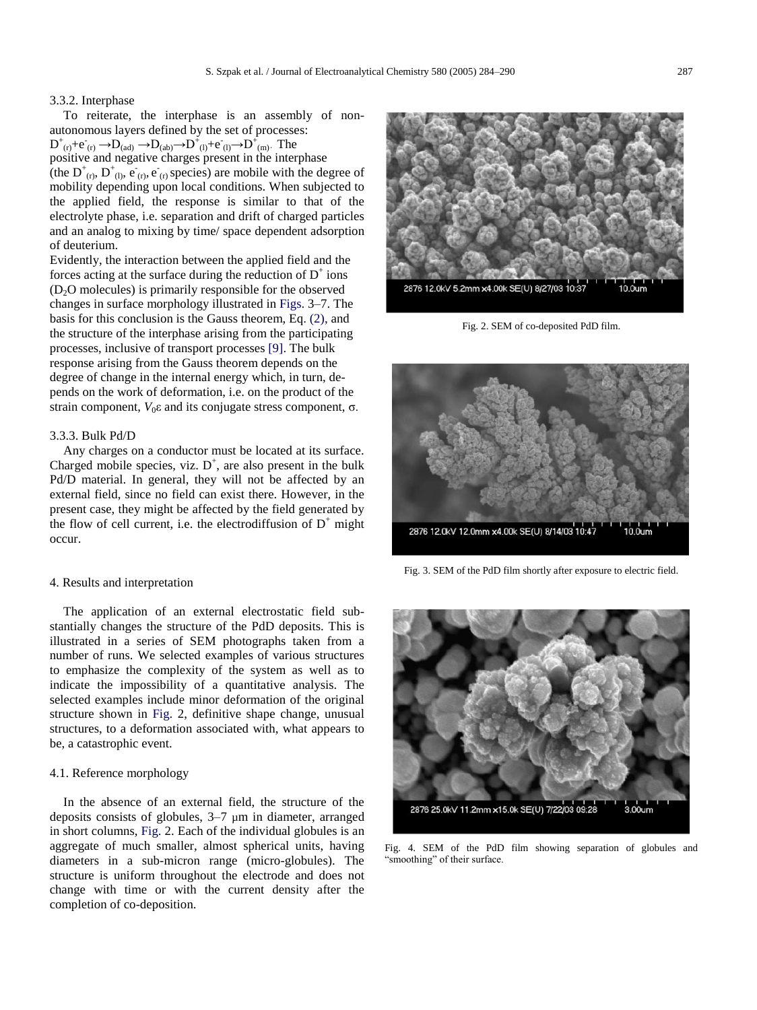## 3.3.2. Interphase

To reiterate, the interphase is an assembly of nonautonomous layers defined by the set of processes:  $D^{\dagger}_{(r)}+e^-_{(r)} \rightarrow D_{(ad)} \rightarrow D_{(ab)} \rightarrow D^{\dagger}_{(l)}+e^-_{(l)} \rightarrow D^{\dagger}_{(m)}$ . The

positive and negative charges present in the interphase (the  $D^{\dagger}$ <sub>(r)</sub>,  $D^{\dagger}$ <sub>(l)</sub>,  $e^{\dagger}$ <sub>(r)</sub>, e<sup> $\dagger$ </sup><sub>(r)</sub> species) are mobile with the degree of mobility depending upon local conditions. When subjected to the applied field, the response is similar to that of the electrolyte phase, i.e. separation and drift of charged particles and an analog to mixing by time/ space dependent adsorption of deuterium.

Evidently, the interaction between the applied field and the forces acting at the surface during the reduction of  $D^+$  ions  $(D<sub>2</sub>O$  molecules) is primarily responsible for the observed changes in surface morphology illustrated in Figs. 3–7. The basis for this conclusion is the Gauss theorem, Eq. (2), and the structure of the interphase arising from the participating processes, inclusive of transport processes [9]. The bulk response arising from the Gauss theorem depends on the degree of change in the internal energy which, in turn, depends on the work of deformation, i.e. on the product of the strain component,  $V_0 \varepsilon$  and its conjugate stress component,  $\sigma$ .

## 3.3.3. Bulk Pd/D

Any charges on a conductor must be located at its surface. Charged mobile species, viz.  $D^+$ , are also present in the bulk Pd/D material. In general, they will not be affected by an external field, since no field can exist there. However, in the present case, they might be affected by the field generated by the flow of cell current, i.e. the electrodiffusion of  $D^+$  might occur.

## 4. Results and interpretation

The application of an external electrostatic field substantially changes the structure of the PdD deposits. This is illustrated in a series of SEM photographs taken from a number of runs. We selected examples of various structures to emphasize the complexity of the system as well as to indicate the impossibility of a quantitative analysis. The selected examples include minor deformation of the original structure shown in Fig. 2, definitive shape change, unusual structures, to a deformation associated with, what appears to be, a catastrophic event.

# 4.1. Reference morphology

In the absence of an external field, the structure of the deposits consists of globules, 3–7 µm in diameter, arranged in short columns, Fig. 2. Each of the individual globules is an aggregate of much smaller, almost spherical units, having diameters in a sub-micron range (micro-globules). The structure is uniform throughout the electrode and does not change with time or with the current density after the completion of co-deposition.

Fig. 2. SEM of co-deposited PdD film.

2876 12.0kV 5.2mm x4.00k SE(U) 8/27/03 10:37



Fig. 3. SEM of the PdD film shortly after exposure to electric field.



Fig. 4. SEM of the PdD film showing separation of globules and "smoothing" of their surface.

 $10.0cm$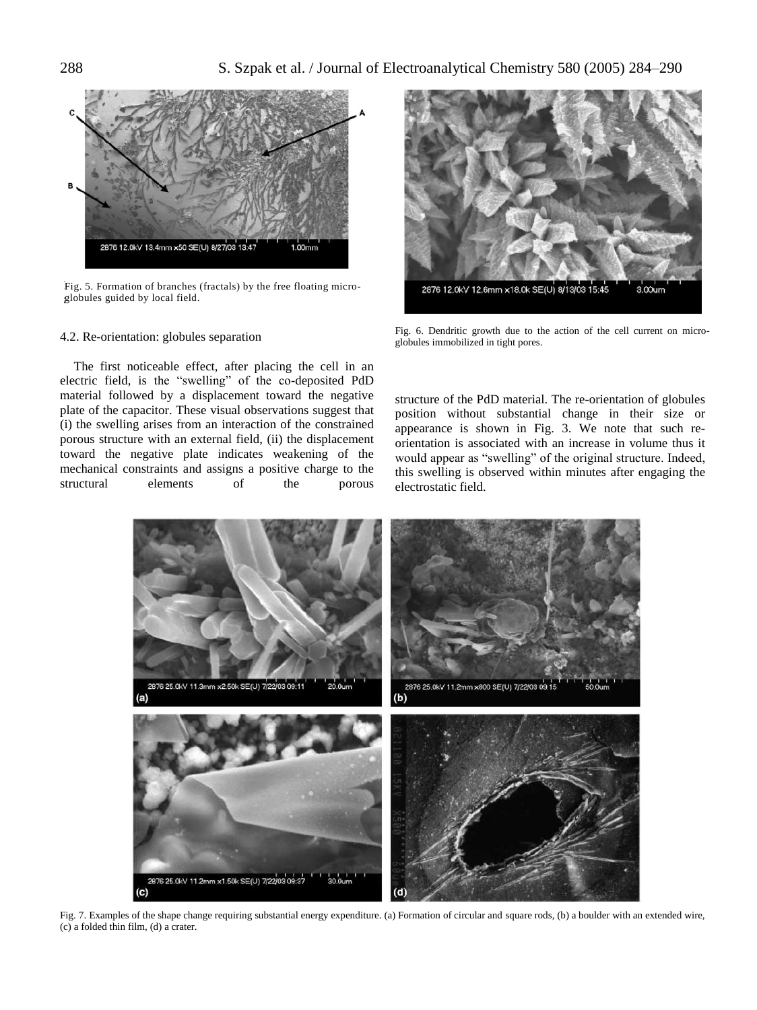

Fig. 5. Formation of branches (fractals) by the free floating microglobules guided by local field.

# 4.2. Re-orientation: globules separation

The first noticeable effect, after placing the cell in an electric field, is the "swelling" of the co-deposited PdD material followed by a displacement toward the negative plate of the capacitor. These visual observations suggest that (i) the swelling arises from an interaction of the constrained porous structure with an external field, (ii) the displacement toward the negative plate indicates weakening of the mechanical constraints and assigns a positive charge to the structural elements of the porous



Fig. 6. Dendritic growth due to the action of the cell current on microglobules immobilized in tight pores.

structure of the PdD material. The re-orientation of globules position without substantial change in their size or appearance is shown in Fig. 3. We note that such reorientation is associated with an increase in volume thus it would appear as "swelling" of the original structure. Indeed, this swelling is observed within minutes after engaging the electrostatic field.



Fig. 7. Examples of the shape change requiring substantial energy expenditure. (a) Formation of circular and square rods, (b) a boulder with an extended wire, (c) a folded thin film, (d) a crater.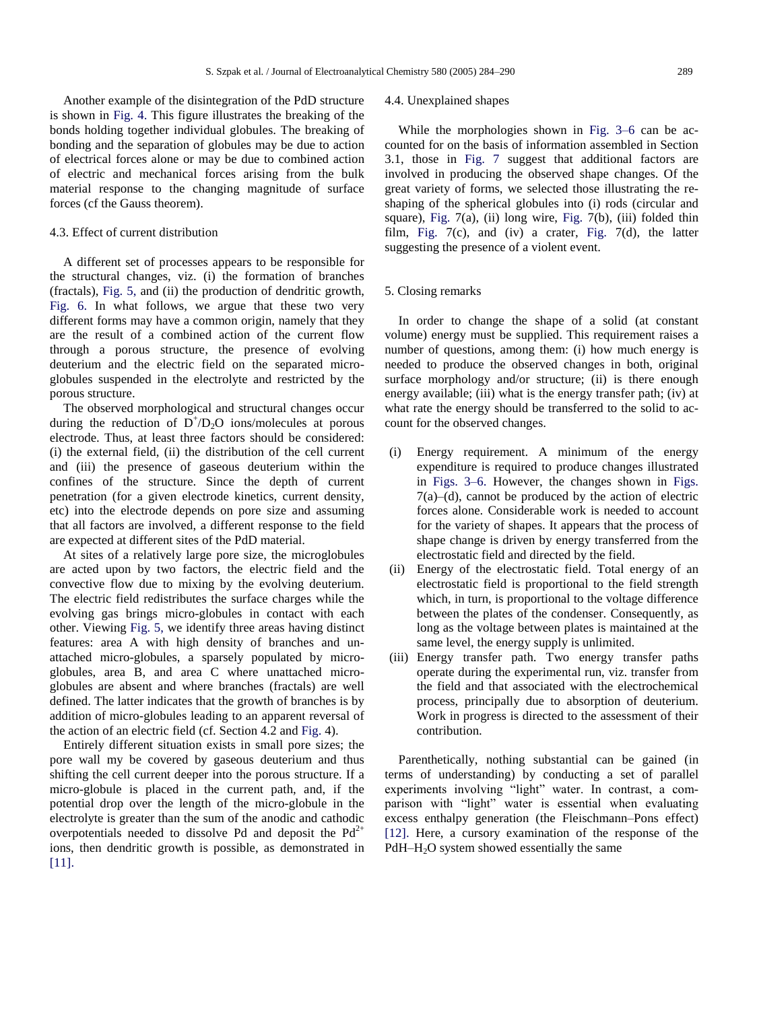Another example of the disintegration of the PdD structure is shown in Fig. 4. This figure illustrates the breaking of the bonds holding together individual globules. The breaking of bonding and the separation of globules may be due to action of electrical forces alone or may be due to combined action of electric and mechanical forces arising from the bulk material response to the changing magnitude of surface forces (cf the Gauss theorem).

#### 4.3. Effect of current distribution

A different set of processes appears to be responsible for the structural changes, viz. (i) the formation of branches (fractals), Fig. 5, and (ii) the production of dendritic growth, Fig. 6. In what follows, we argue that these two very different forms may have a common origin, namely that they are the result of a combined action of the current flow through a porous structure, the presence of evolving deuterium and the electric field on the separated microglobules suspended in the electrolyte and restricted by the porous structure.

The observed morphological and structural changes occur during the reduction of  $D^+/D_2O$  ions/molecules at porous electrode. Thus, at least three factors should be considered: (i) the external field, (ii) the distribution of the cell current and (iii) the presence of gaseous deuterium within the confines of the structure. Since the depth of current penetration (for a given electrode kinetics, current density, etc) into the electrode depends on pore size and assuming that all factors are involved, a different response to the field are expected at different sites of the PdD material.

At sites of a relatively large pore size, the microglobules are acted upon by two factors, the electric field and the convective flow due to mixing by the evolving deuterium. The electric field redistributes the surface charges while the evolving gas brings micro-globules in contact with each other. Viewing Fig. 5, we identify three areas having distinct features: area A with high density of branches and unattached micro-globules, a sparsely populated by microglobules, area B, and area C where unattached microglobules are absent and where branches (fractals) are well defined. The latter indicates that the growth of branches is by addition of micro-globules leading to an apparent reversal of the action of an electric field (cf. Section 4.2 and Fig. 4).

Entirely different situation exists in small pore sizes; the pore wall my be covered by gaseous deuterium and thus shifting the cell current deeper into the porous structure. If a micro-globule is placed in the current path, and, if the potential drop over the length of the micro-globule in the electrolyte is greater than the sum of the anodic and cathodic overpotentials needed to dissolve Pd and deposit the  $Pd^{2+}$ ions, then dendritic growth is possible, as demonstrated in [11].

# 4.4. Unexplained shapes

While the morphologies shown in Fig. 3–6 can be accounted for on the basis of information assembled in Section 3.1, those in Fig. 7 suggest that additional factors are involved in producing the observed shape changes. Of the great variety of forms, we selected those illustrating the reshaping of the spherical globules into (i) rods (circular and square), Fig.  $7(a)$ , (ii) long wire, Fig.  $7(b)$ , (iii) folded thin film, Fig.  $7(c)$ , and  $(iv)$  a crater, Fig.  $7(d)$ , the latter suggesting the presence of a violent event.

# 5. Closing remarks

In order to change the shape of a solid (at constant volume) energy must be supplied. This requirement raises a number of questions, among them: (i) how much energy is needed to produce the observed changes in both, original surface morphology and/or structure; (ii) is there enough energy available; (iii) what is the energy transfer path; (iv) at what rate the energy should be transferred to the solid to account for the observed changes.

- (i) Energy requirement. A minimum of the energy expenditure is required to produce changes illustrated in Figs. 3–6. However, the changes shown in Figs.  $7(a)$ –(d), cannot be produced by the action of electric forces alone. Considerable work is needed to account for the variety of shapes. It appears that the process of shape change is driven by energy transferred from the electrostatic field and directed by the field.
- (ii) Energy of the electrostatic field. Total energy of an electrostatic field is proportional to the field strength which, in turn, is proportional to the voltage difference between the plates of the condenser. Consequently, as long as the voltage between plates is maintained at the same level, the energy supply is unlimited.
- (iii) Energy transfer path. Two energy transfer paths operate during the experimental run, viz. transfer from the field and that associated with the electrochemical process, principally due to absorption of deuterium. Work in progress is directed to the assessment of their contribution.

Parenthetically, nothing substantial can be gained (in terms of understanding) by conducting a set of parallel experiments involving "light" water. In contrast, a comparison with "light" water is essential when evaluating excess enthalpy generation (the Fleischmann–Pons effect) [12]. Here, a cursory examination of the response of the PdH–H<sub>2</sub>O system showed essentially the same